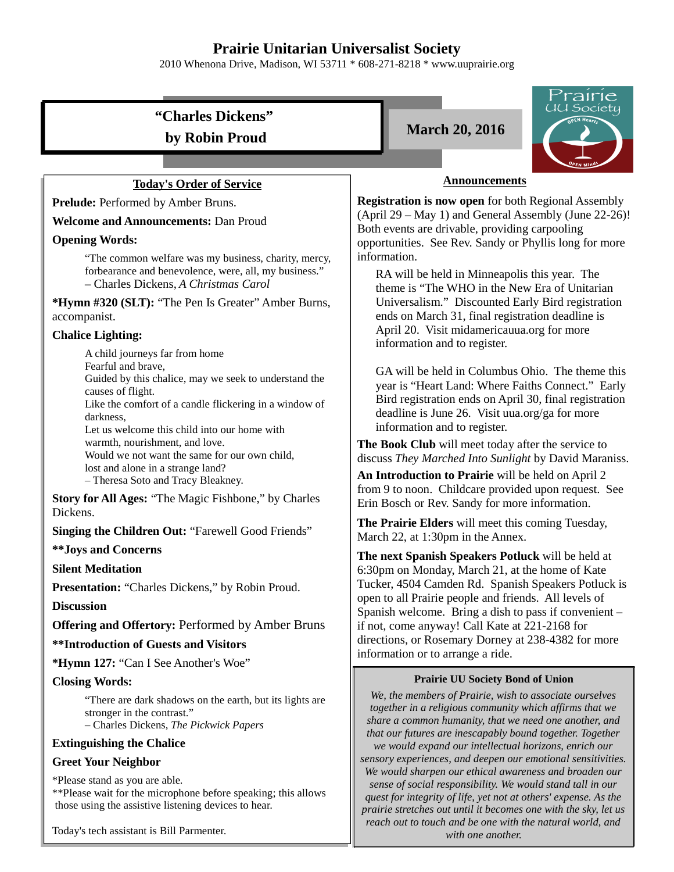# **Prairie Unitarian Universalist Society**

2010 Whenona Drive, Madison, WI 53711 \* 608-271-8218 \* www.uuprairie.org

# **"Charles Dickens" by Robin Proud March 20, 2016**

## **Today's Order of Service**

Prelude: Performed by Amber Bruns.

**Welcome and Announcements:** Dan Proud

#### **Opening Words:**

"The common welfare was my business, charity, mercy, forbearance and benevolence, were, all, my business." – Charles Dickens, *A Christmas Carol*

**\*Hymn #320 (SLT):** "The Pen Is Greater" Amber Burns, accompanist.

## **Chalice Lighting:**

A child journeys far from home

Fearful and brave,

Guided by this chalice, may we seek to understand the causes of flight.

Like the comfort of a candle flickering in a window of darkness,

Let us welcome this child into our home with warmth, nourishment, and love. Would we not want the same for our own child, lost and alone in a strange land?

– Theresa Soto and Tracy Bleakney.

**Story for All Ages:** "The Magic Fishbone," by Charles Dickens.

**Singing the Children Out:** "Farewell Good Friends"

**\*\*Joys and Concerns**

### **Silent Meditation**

Presentation: "Charles Dickens," by Robin Proud.

**Discussion**

**Offering and Offertory: Performed by Amber Bruns** 

**\*\*Introduction of Guests and Visitors**

**\*Hymn 127:** "Can I See Another's Woe"

### **Closing Words:**

"There are dark shadows on the earth, but its lights are stronger in the contrast."

– Charles Dickens, *The Pickwick Papers*

#### **Extinguishing the Chalice**

### **Greet Your Neighbor**

\*Please stand as you are able.

\*\*Please wait for the microphone before speaking; this allows those using the assistive listening devices to hear.

Today's tech assistant is Bill Parmenter.





### **Announcements**

**Registration is now open** for both Regional Assembly (April 29 – May 1) and General Assembly (June 22-26)! Both events are drivable, providing carpooling opportunities. See Rev. Sandy or Phyllis long for more information.

RA will be held in Minneapolis this year. The theme is "The WHO in the New Era of Unitarian Universalism." Discounted Early Bird registration ends on March 31, final registration deadline is April 20. Visit midamericauua.org for more information and to register.

GA will be held in Columbus Ohio. The theme this year is "Heart Land: Where Faiths Connect." Early Bird registration ends on April 30, final registration deadline is June 26. Visit uua.org/ga for more information and to register.

**The Book Club** will meet today after the service to discuss *They Marched Into Sunlight* by David Maraniss.

**An Introduction to Prairie** will be held on April 2 from 9 to noon. Childcare provided upon request. See Erin Bosch or Rev. Sandy for more information.

**The Prairie Elders** will meet this coming Tuesday, March 22, at 1:30pm in the Annex.

**The next Spanish Speakers Potluck** will be held at 6:30pm on Monday, March 21, at the home of Kate Tucker, 4504 Camden Rd. Spanish Speakers Potluck is open to all Prairie people and friends. All levels of Spanish welcome. Bring a dish to pass if convenient – if not, come anyway! Call Kate at 221-2168 for directions, or Rosemary Dorney at 238-4382 for more information or to arrange a ride.

#### **Prairie UU Society Bond of Union**

*We, the members of Prairie, wish to associate ourselves together in a religious community which affirms that we share a common humanity, that we need one another, and that our futures are inescapably bound together. Together we would expand our intellectual horizons, enrich our sensory experiences, and deepen our emotional sensitivities. We would sharpen our ethical awareness and broaden our sense of social responsibility. We would stand tall in our quest for integrity of life, yet not at others' expense. As the prairie stretches out until it becomes one with the sky, let us reach out to touch and be one with the natural world, and with one another.*